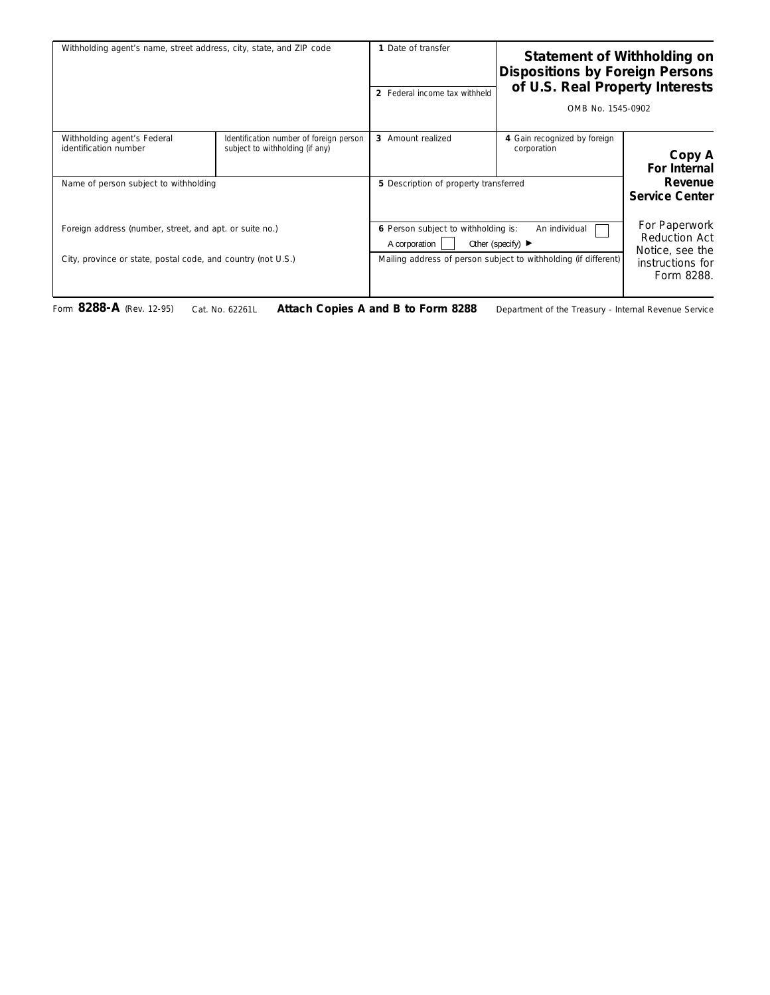| Statement of Withholding on<br><b>Dispositions by Foreign Persons</b><br>of U.S. Real Property Interests<br>OMB No. 1545-0902 |                                                                                                                           | 1 Date of transfer<br>2 Federal income tax withheld  | Withholding agent's name, street address, city, state, and ZIP code                                                     |                                                      |
|-------------------------------------------------------------------------------------------------------------------------------|---------------------------------------------------------------------------------------------------------------------------|------------------------------------------------------|-------------------------------------------------------------------------------------------------------------------------|------------------------------------------------------|
| Copy A<br>For Internal                                                                                                        | 4 Gain recognized by foreign<br>corporation                                                                               | 3 Amount realized                                    | Identification number of foreign person<br>subject to withholding (if any)                                              | Withholding agent's Federal<br>identification number |
| Revenue<br><b>Service Center</b>                                                                                              | 5 Description of property transferred                                                                                     |                                                      | Name of person subject to withholding                                                                                   |                                                      |
| For Paperwork<br>Reduction Act<br>Notice, see the<br>instructions for<br>Form 8288.                                           | An individual<br>Other (specify) $\blacktriangleright$<br>Mailing address of person subject to withholding (if different) | 6 Person subject to withholding is:<br>A corporation | Foreign address (number, street, and apt. or suite no.)<br>City, province or state, postal code, and country (not U.S.) |                                                      |
|                                                                                                                               |                                                                                                                           |                                                      |                                                                                                                         |                                                      |

Form **8288-A** (Rev. 12-95) Cat. No. 62261L **Attach Copies A and B to Form 8288** Department of the Treasury - Internal Revenue Service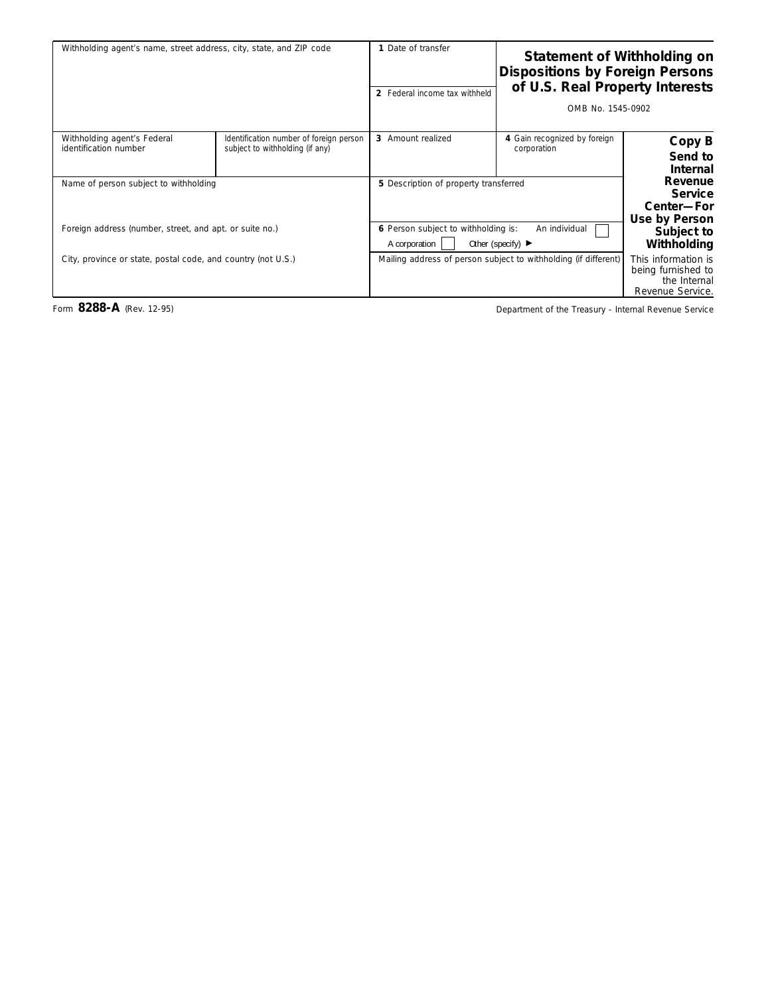|                                                                               | <b>Statement of Withholding on</b><br><b>Dispositions by Foreign Persons</b><br>of U.S. Real Property Interests<br>OMB No. 1545-0902 | 1 Date of transfer<br>2 Federal income tax withheld  | Withholding agent's name, street address, city, state, and ZIP code                              |                                                              |
|-------------------------------------------------------------------------------|--------------------------------------------------------------------------------------------------------------------------------------|------------------------------------------------------|--------------------------------------------------------------------------------------------------|--------------------------------------------------------------|
| Copy B<br>Send to<br><b>Internal</b>                                          | 4 Gain recognized by foreign<br>corporation                                                                                          | 3 Amount realized                                    | Identification number of foreign person<br>subject to withholding (if any)                       | Withholding agent's Federal<br>identification number         |
| Revenue<br><b>Service</b><br>Center-For<br>Use by Person                      |                                                                                                                                      | 5 Description of property transferred                | Name of person subject to withholding<br>Foreign address (number, street, and apt. or suite no.) |                                                              |
| Subject to<br>Withholding                                                     | An individual<br>Other (specify) $\blacktriangleright$                                                                               | 6 Person subject to withholding is:<br>A corporation |                                                                                                  |                                                              |
| This information is<br>being furnished to<br>the Internal<br>Revenue Service. | Mailing address of person subject to withholding (if different)                                                                      |                                                      |                                                                                                  | City, province or state, postal code, and country (not U.S.) |

Form 8288-A (Rev. 12-95) Torm 8288-A (Rev. 12-95)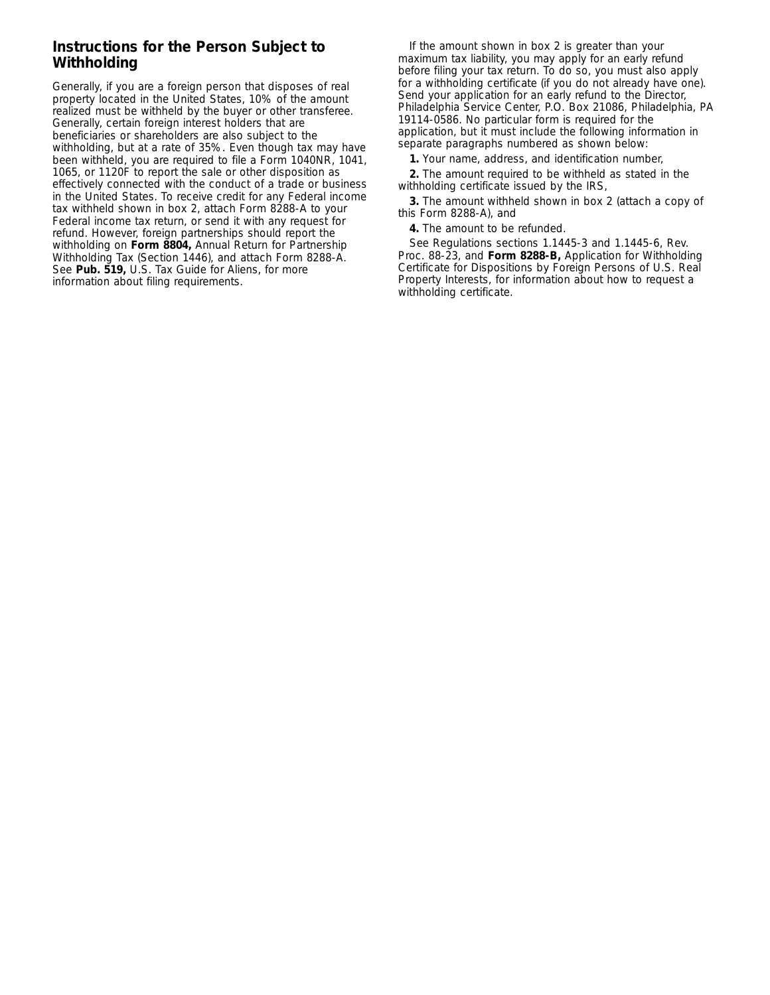## **Instructions for the Person Subject to Withholding**

Generally, if you are a foreign person that disposes of real property located in the United States, 10% of the amount realized must be withheld by the buyer or other transferee. Generally, certain foreign interest holders that are beneficiaries or shareholders are also subject to the withholding, but at a rate of 35%. Even though tax may have been withheld, you are required to file a Form 1040NR, 1041, 1065, or 1120F to report the sale or other disposition as effectively connected with the conduct of a trade or business in the United States. To receive credit for any Federal income tax withheld shown in box 2, attach Form 8288-A to your Federal income tax return, or send it with any request for refund. However, foreign partnerships should report the withholding on **Form 8804,** Annual Return for Partnership Withholding Tax (Section 1446), and attach Form 8288-A. See **Pub. 519,** U.S. Tax Guide for Aliens, for more information about filing requirements.

If the amount shown in box 2 is greater than your maximum tax liability, you may apply for an early refund before filing your tax return. To do so, you must also apply for a withholding certificate (if you do not already have one). Send your application for an early refund to the Director, Philadelphia Service Center, P.O. Box 21086, Philadelphia, PA 19114-0586. No particular form is required for the application, but it must include the following information in separate paragraphs numbered as shown below:

**1.** Your name, address, and identification number,

**2.** The amount required to be withheld as stated in the withholding certificate issued by the IRS,

**3.** The amount withheld shown in box 2 (attach a copy of this Form 8288-A), and

**4.** The amount to be refunded.

See Regulations sections 1.1445-3 and 1.1445-6, Rev. Proc. 88-23, and **Form 8288-B,** Application for Withholding Certificate for Dispositions by Foreign Persons of U.S. Real Property Interests, for information about how to request a withholding certificate.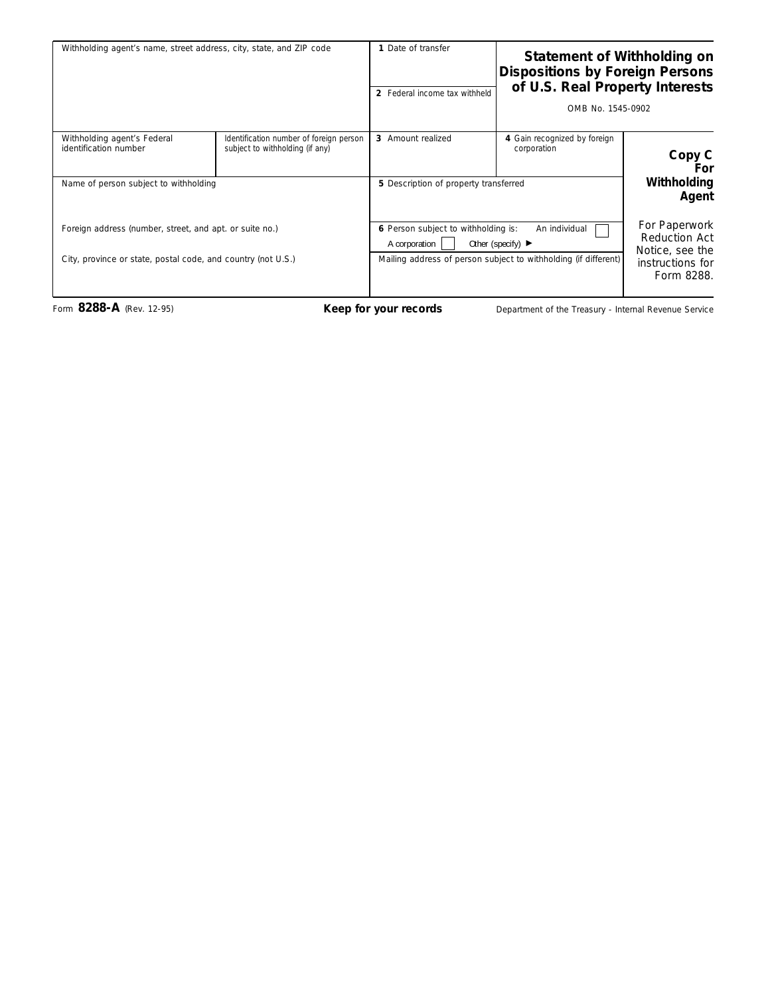| Withholding agent's name, street address, city, state, and ZIP code |                                                                            | 1 Date of transfer<br>2 Federal income tax withheld                                                            | Statement of Withholding on<br><b>Dispositions by Foreign Persons</b><br>of U.S. Real Property Interests<br>OMB No. 1545-0902 |                                                          |
|---------------------------------------------------------------------|----------------------------------------------------------------------------|----------------------------------------------------------------------------------------------------------------|-------------------------------------------------------------------------------------------------------------------------------|----------------------------------------------------------|
| Withholding agent's Federal<br>identification number                | Identification number of foreign person<br>subject to withholding (if any) | 3 Amount realized                                                                                              | 4 Gain recognized by foreign<br>corporation                                                                                   | Copy C<br>For                                            |
| Name of person subject to withholding                               |                                                                            | 5 Description of property transferred                                                                          |                                                                                                                               | Withholding<br>Agent                                     |
| Foreign address (number, street, and apt. or suite no.)             |                                                                            | 6 Person subject to withholding is:<br>An individual<br>Other (specify) $\blacktriangleright$<br>A corporation |                                                                                                                               | For Paperwork<br><b>Reduction Act</b><br>Notice, see the |
| City, province or state, postal code, and country (not U.S.)        |                                                                            |                                                                                                                | Mailing address of person subject to withholding (if different)                                                               | instructions for<br>Form 8288.                           |

Form 8288-A (Rev. 12-95) **Keep for your records** Department of the Treasury - Internal Revenue Service